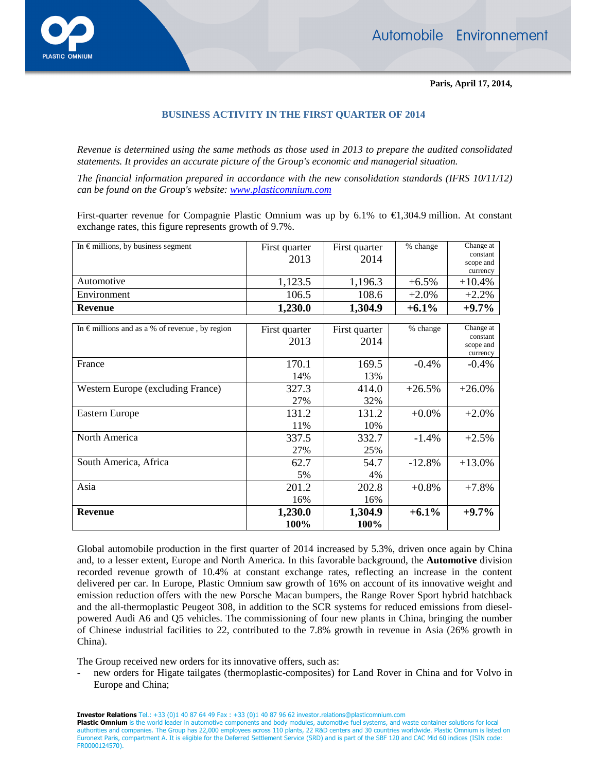

**Paris, April 17, 2014,** 

## **BUSINESS ACTIVITY IN THE FIRST QUARTER OF 2014**

*Revenue is determined using the same methods as those used in 2013 to prepare the audited consolidated statements. It provides an accurate picture of the Group's economic and managerial situation.* 

*The financial information prepared in accordance with the new consolidation standards (IFRS 10/11/12) can be found on the Group's website: www.plasticomnium.com*

First-quarter revenue for Compagnie Plastic Omnium was up by 6.1% to €1,304.9 million. At constant exchange rates, this figure represents growth of 9.7%.

| In $\epsilon$ millions, by business segment             | First quarter | First quarter | % change | Change at             |
|---------------------------------------------------------|---------------|---------------|----------|-----------------------|
|                                                         | 2013          | 2014          |          | constant              |
|                                                         |               |               |          | scope and<br>currency |
| Automotive                                              | 1,123.5       | 1,196.3       | $+6.5%$  | $+10.4%$              |
| Environment                                             | 106.5         | 108.6         | $+2.0%$  | $+2.2%$               |
| <b>Revenue</b>                                          | 1,230.0       | 1,304.9       | $+6.1%$  | $+9.7\%$              |
|                                                         |               |               |          |                       |
| In $\epsilon$ millions and as a % of revenue, by region | First quarter | First quarter | % change | Change at<br>constant |
|                                                         | 2013          | 2014          |          | scope and             |
|                                                         |               |               |          | currency              |
| France                                                  | 170.1         | 169.5         | $-0.4%$  | $-0.4\%$              |
|                                                         | 14%           | 13%           |          |                       |
| Western Europe (excluding France)                       | 327.3         | 414.0         | $+26.5%$ | $+26.0%$              |
|                                                         | 27%           | 32%           |          |                       |
| Eastern Europe                                          | 131.2         | 131.2         | $+0.0\%$ | $+2.0%$               |
|                                                         | 11%           | 10%           |          |                       |
| North America                                           | 337.5         | 332.7         | $-1.4%$  | $+2.5%$               |
|                                                         | 27%           | 25%           |          |                       |
| South America, Africa                                   | 62.7          | 54.7          | $-12.8%$ | $+13.0%$              |
|                                                         | 5%            | 4%            |          |                       |
| Asia                                                    | 201.2         | 202.8         | $+0.8%$  | $+7.8%$               |
|                                                         | 16%           | 16%           |          |                       |
| <b>Revenue</b>                                          | 1,230.0       | 1,304.9       | $+6.1%$  | $+9.7%$               |
|                                                         | 100%          | 100%          |          |                       |

Global automobile production in the first quarter of 2014 increased by 5.3%, driven once again by China and, to a lesser extent, Europe and North America. In this favorable background, the **Automotive** division recorded revenue growth of 10.4% at constant exchange rates, reflecting an increase in the content delivered per car. In Europe, Plastic Omnium saw growth of 16% on account of its innovative weight and emission reduction offers with the new Porsche Macan bumpers, the Range Rover Sport hybrid hatchback and the all-thermoplastic Peugeot 308, in addition to the SCR systems for reduced emissions from dieselpowered Audi A6 and Q5 vehicles. The commissioning of four new plants in China, bringing the number of Chinese industrial facilities to 22, contributed to the 7.8% growth in revenue in Asia (26% growth in China).

The Group received new orders for its innovative offers, such as:

new orders for Higate tailgates (thermoplastic-composites) for Land Rover in China and for Volvo in Europe and China;

**Investor Relations** Tel.: +33 (0)1 40 87 64 49 Fax : +33 (0)1 40 87 96 62 investor.relations@plasticomnium.com

Plastic Omnium is the world leader in automotive components and body modules, automotive fuel systems, and waste container solutions for local authorities and companies. The Group has 22,000 employees across 110 plants, 22 R&D centers and 30 countries worldwide. Plastic Omnium is listed on<br>Euronext Paris, compartment A. It is eligible for the Deferred Settlement FR0000124570).